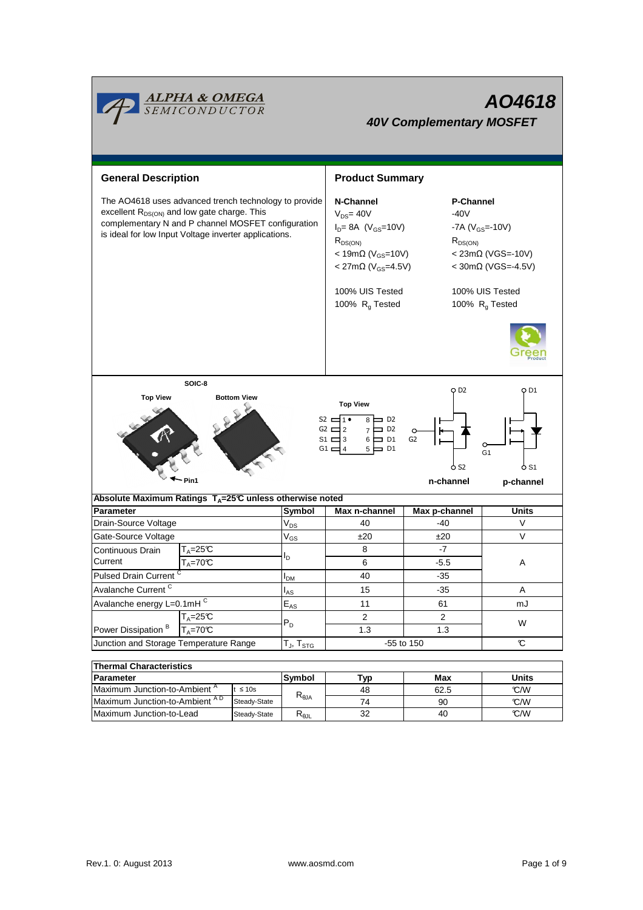

| THEITIM UNARCUEI ISUCS                    |              |           |      |      |       |  |  |  |
|-------------------------------------------|--------------|-----------|------|------|-------|--|--|--|
| <b>Parameter</b>                          |              | Symbol    | Typ. | Max  | Units |  |  |  |
| Maximum Junction-to-Ambient <sup>A</sup>  | t ≤ 10s      |           | 48   | 62.5 | C/W   |  |  |  |
| Maximum Junction-to-Ambient <sup>AD</sup> | Steady-State | $A\cup P$ | 74   | 90   | C/W   |  |  |  |
| Maximum Junction-to-Lead                  | Steady-State | ∾⊕JL      | 32   | 40   | C/W   |  |  |  |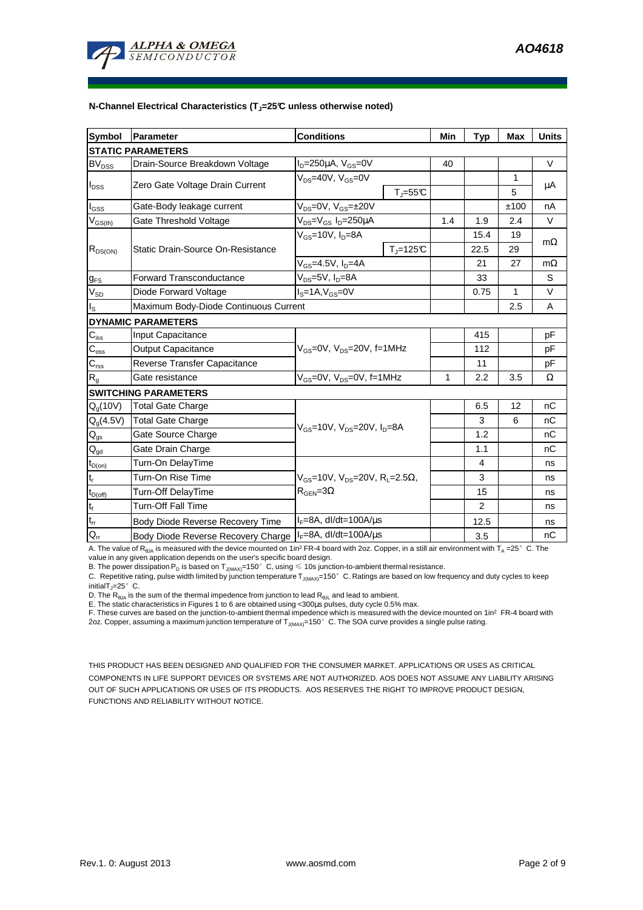

#### **N-Channel Electrical Characteristics (TJ=25°C unless otherwise noted)**

| <b>Symbol</b>                           | <b>Parameter</b>                      | <b>Conditions</b>                                                                                 |              | Min | <b>Typ</b>     | <b>Max</b> | <b>Units</b> |  |
|-----------------------------------------|---------------------------------------|---------------------------------------------------------------------------------------------------|--------------|-----|----------------|------------|--------------|--|
| <b>STATIC PARAMETERS</b>                |                                       |                                                                                                   |              |     |                |            |              |  |
| <b>BV<sub>DSS</sub></b>                 | Drain-Source Breakdown Voltage        | $I_D = 250 \mu A$ , $V_{GS} = 0V$                                                                 |              | 40  |                |            | $\vee$       |  |
| $I_{DSS}$                               | Zero Gate Voltage Drain Current       | $V_{DS}$ =40V, $V_{GS}$ =0V                                                                       |              |     |                | 1          | μA           |  |
|                                         |                                       |                                                                                                   | $T_J = 55C$  |     |                | 5          |              |  |
| $I_{GSS}$                               | Gate-Body leakage current             | $V_{DS}=0V$ , $V_{GS}=±20V$                                                                       |              |     |                | ±100       | nA           |  |
| $\mathsf{V}_{\mathsf{GS}(\mathsf{th})}$ | Gate Threshold Voltage                | $V_{DS} = V_{GS} I_D = 250 \mu A$                                                                 |              | 1.4 | 1.9            | 2.4        | $\vee$       |  |
| $R_{DS(ON)}$                            | Static Drain-Source On-Resistance     | $V_{GS}$ =10V, I <sub>n</sub> =8A                                                                 |              |     | 15.4           | 19         | $m\Omega$    |  |
|                                         |                                       |                                                                                                   | $T_i = 125C$ |     | 22.5           | 29         |              |  |
|                                         |                                       | $V_{GS}$ =4.5V, $I_D$ =4A                                                                         |              |     | 21             | 27         | $m\Omega$    |  |
| $g_{FS}$                                | <b>Forward Transconductance</b>       | $V_{DS}=5V$ , $I_D=8A$                                                                            |              |     | 33             |            | S            |  |
| $V_{SD}$                                | Diode Forward Voltage                 | $Is=1A, VGS=0V$                                                                                   |              |     | 0.75           | 1          | $\vee$       |  |
| ıs.                                     | Maximum Body-Diode Continuous Current |                                                                                                   |              |     |                | 2.5        | A            |  |
|                                         | <b>DYNAMIC PARAMETERS</b>             |                                                                                                   |              |     |                |            |              |  |
| $C_{iss}$                               | <b>Input Capacitance</b>              | $V_{GS}$ =0V, $V_{DS}$ =20V, f=1MHz                                                               |              |     | 415            |            | pF           |  |
| $C_{\rm oss}$                           | <b>Output Capacitance</b>             |                                                                                                   |              |     | 112            |            | pF           |  |
| $C_{\text{rss}}$                        | Reverse Transfer Capacitance          |                                                                                                   |              |     | 11             |            | рF           |  |
| $R_{q}$                                 | Gate resistance                       | $V_{GS}$ =0V, $V_{DS}$ =0V, f=1MHz                                                                |              | 1   | 2.2            | 3.5        | Ω            |  |
| <b>SWITCHING PARAMETERS</b>             |                                       |                                                                                                   |              |     |                |            |              |  |
| $Q_q(10V)$                              | <b>Total Gate Charge</b>              | $V_{GS}$ =10V, $V_{DS}$ =20V, $I_D$ =8A                                                           |              |     | 6.5            | 12         | nC           |  |
| $Q_g(4.5V)$                             | <b>Total Gate Charge</b>              |                                                                                                   |              |     | 3              | 6          | nC           |  |
| $\mathsf{Q}_{\text{gs}}$                | Gate Source Charge                    |                                                                                                   |              |     | 1.2            |            | nC           |  |
| $\mathbf{Q}_{\text{gd}}$                | Gate Drain Charge                     |                                                                                                   |              |     | 1.1            |            | nC           |  |
| $t_{D(on)}$                             | Turn-On DelayTime                     |                                                                                                   |              |     | $\overline{4}$ |            | ns           |  |
| $t_r$                                   | Turn-On Rise Time                     | $V_{\text{GS}} = 10V$ , $V_{\text{DS}} = 20V$ , $R_1 = 2.5\Omega$ ,<br>$R_{\text{GEN}} = 3\Omega$ |              |     | 3              |            | ns           |  |
| $t_{D(off)}$                            | Turn-Off DelayTime                    |                                                                                                   |              |     | 15             |            | ns           |  |
| $t_f$                                   | <b>Turn-Off Fall Time</b>             |                                                                                                   |              |     | $\overline{2}$ |            | ns           |  |
| $\mathsf{t}_{\mathsf{rr}}$              | Body Diode Reverse Recovery Time      | $I_F = 8A$ , dl/dt=100A/ $\mu$ s                                                                  |              |     | 12.5           |            | ns           |  |
| $Q_{rr}$                                | Body Diode Reverse Recovery Charge    | $I_F = 8A$ , dl/dt=100A/ $\mu$ s                                                                  |              |     | 3.5            |            | nC           |  |

A. The value of R<sub>BJA</sub> is measured with the device mounted on 1in<sup>2</sup> FR-4 board with 2oz. Copper, in a still air environment with T<sub>A</sub> =25° C. The value in any given application depends on the user's specific board design.

B. The power dissipation P<sub>D</sub> is based on T<sub>J(MAX)</sub>=150°C, using  $\leq 10$ s junction-to-ambient thermal resistance.

C. Repetitive rating, pulse width limited by junction temperature  $T_{J(MAX)}$ =150°C. Ratings are based on low frequency and duty cycles to keep  $initialT = 25^\circ$  C.

D. The R<sub>6JA</sub> is the sum of the thermal impedence from junction to lead R<sub>6JL</sub> and lead to ambient.<br>E. The static characteristics in Figures 1 to 6 are obtained using <300μs pulses, duty cycle 0.5% max.<br>F. These curves ar 2oz. Copper, assuming a maximum junction temperature of T<sub>J(MAX)</sub>=150°C. The SOA curve provides a single pulse rating.

THIS PRODUCT HAS BEEN DESIGNED AND QUALIFIED FOR THE CONSUMER MARKET. APPLICATIONS OR USES AS CRITICAL COMPONENTS IN LIFE SUPPORT DEVICES OR SYSTEMS ARE NOT AUTHORIZED. AOS DOES NOT ASSUME ANY LIABILITY ARISING OUT OF SUCH APPLICATIONS OR USES OF ITS PRODUCTS. AOS RESERVES THE RIGHT TO IMPROVE PRODUCT DESIGN, FUNCTIONS AND RELIABILITY WITHOUT NOTICE.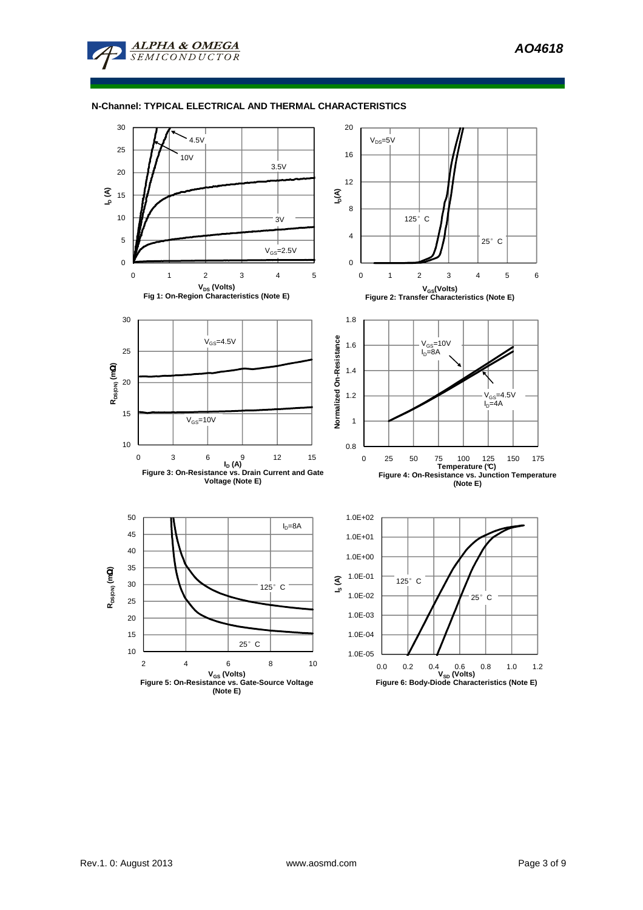### **N-Channel: TYPICAL ELECTRICAL AND THERMAL CHARACTERISTICS**

**ALPHA & OMEGA SEMICONDUCTOR** 

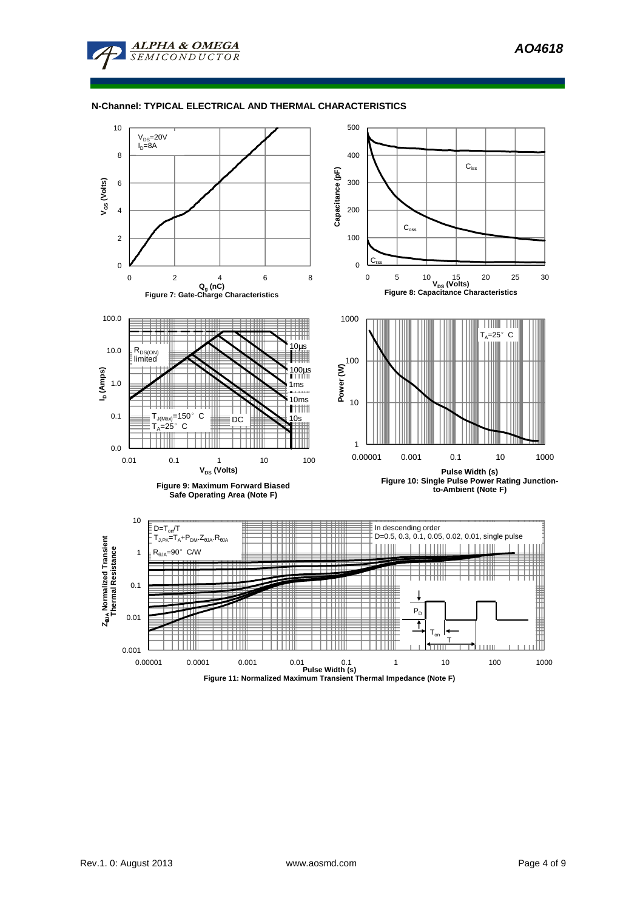

#### **N-Channel: TYPICAL ELECTRICAL AND THERMAL CHARACTERISTICS**

**ALPHA & OMEGA** SEMICONDUCTOR

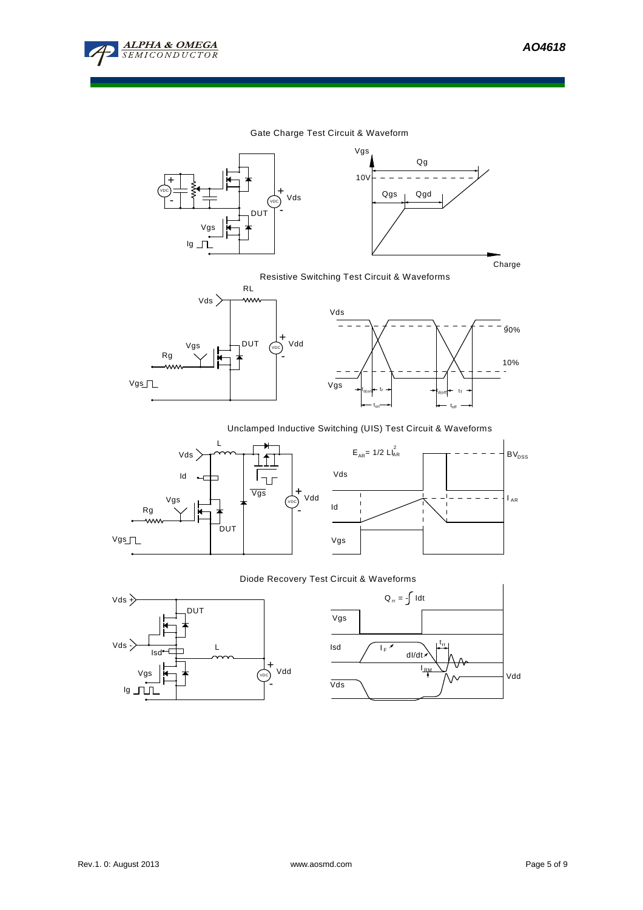

### Gate Charge Test Circuit & Waveform





### Resistive Switching Test Circuit & Waveforms





# Unclamped Inductive Switching (UIS) Test Circuit & Waveforms





### Diode Recovery Test Circuit & Waveforms



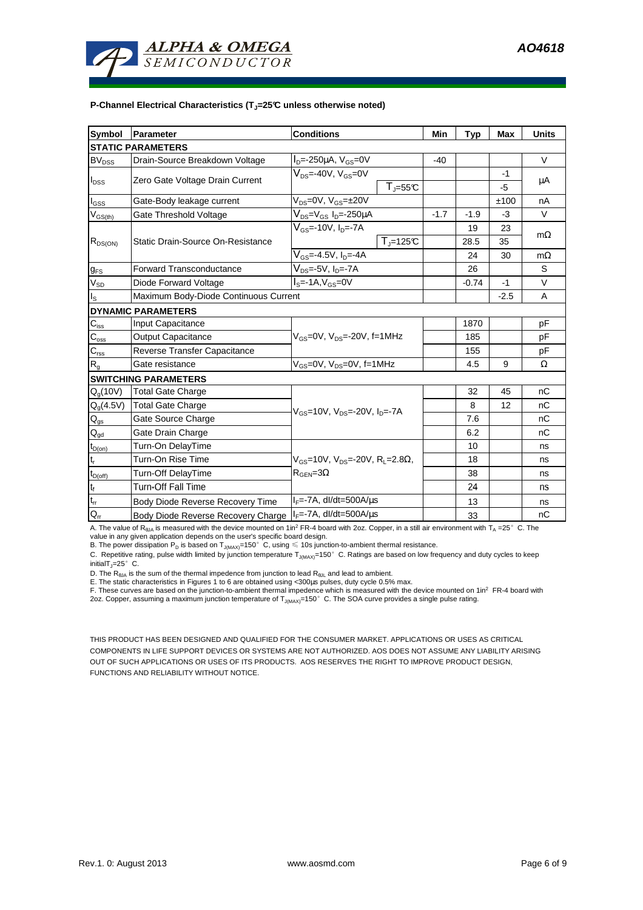

#### **P-Channel Electrical Characteristics (TJ=25°C unless otherwise noted)**

| <b>Symbol</b>                          | Parameter                             | <b>Conditions</b>                                                      |        | <b>Typ</b> | <b>Max</b> | <b>Units</b> |  |  |
|----------------------------------------|---------------------------------------|------------------------------------------------------------------------|--------|------------|------------|--------------|--|--|
| <b>STATIC PARAMETERS</b>               |                                       |                                                                        |        |            |            |              |  |  |
| BV <sub>DSS</sub>                      | Drain-Source Breakdown Voltage        | $I_{D} = -250 \mu A$ , $V_{GS} = 0V$                                   | $-40$  |            |            | $\vee$       |  |  |
| $I_{DSS}$                              | Zero Gate Voltage Drain Current       | $V_{DS}$ =-40V, $V_{GS}$ =0V                                           |        |            | -1         |              |  |  |
|                                        |                                       | $T_{J} = 55C$                                                          |        |            | $-5$       | μA           |  |  |
| $\mathsf{l}_{\mathsf{GSS}}$            | Gate-Body leakage current             | $V_{DS} = 0V$ , $V_{GS} = \pm 20V$                                     |        |            | ±100       | nA           |  |  |
| $V_{GS(th)}$                           | Gate Threshold Voltage                | $V_{DS} = V_{GS} I_D = -250 \mu A$                                     | $-1.7$ | $-1.9$     | $-3$       | $\vee$       |  |  |
|                                        |                                       | $V_{\rm \scriptscriptstyle GS}$ =-10V, I <sub>n</sub> =-7A             |        | 19         | 23         | $m\Omega$    |  |  |
| $R_{DS(ON)}$                           | Static Drain-Source On-Resistance     | $T_{\text{J}}$ =125°C                                                  |        | 28.5       | 35         |              |  |  |
|                                        |                                       | $V_{GS} = -4.5V, I_D = -4A$                                            |        | 24         | 30         | $m\Omega$    |  |  |
| $g_{FS}$                               | <b>Forward Transconductance</b>       | $V_{DS}$ =-5V, I <sub>D</sub> =-7A                                     |        | 26         |            | S            |  |  |
| $V_{SD}$                               | Diode Forward Voltage                 | $IS=-1A, VGS=0V$                                                       |        | $-0.74$    | $-1$       | V            |  |  |
| $I_{\rm S}$                            | Maximum Body-Diode Continuous Current |                                                                        |        |            | $-2.5$     | A            |  |  |
| <b>DYNAMIC PARAMETERS</b>              |                                       |                                                                        |        |            |            |              |  |  |
| $C_{\text{iss}}$                       | Input Capacitance                     |                                                                        |        | 1870       |            | pF           |  |  |
| $C_{\rm oss}$                          | <b>Output Capacitance</b>             | $V_{GS}$ =0V, $V_{DS}$ =-20V, f=1MHz                                   |        | 185        |            | pF           |  |  |
| $C_{\text{rss}}$                       | Reverse Transfer Capacitance          |                                                                        |        | 155        |            | pF           |  |  |
| $R_{q}$                                | Gate resistance                       | $V_{GS}$ =0V, $V_{DS}$ =0V, f=1MHz                                     |        | 4.5        | 9          | Ω            |  |  |
| <b>SWITCHING PARAMETERS</b>            |                                       |                                                                        |        |            |            |              |  |  |
| $Q_q(10V)$                             | <b>Total Gate Charge</b>              |                                                                        |        | 32         | 45         | nC           |  |  |
| $Q_q(4.5V)$                            | <b>Total Gate Charge</b>              | $V_{\text{GS}} = 10V$ , $V_{\text{DS}} = -20V$ , $I_{\text{DS}} = -7A$ |        | 8          | 12         | nC           |  |  |
| $\mathsf{Q}_{\text{gs}}$               | Gate Source Charge                    |                                                                        |        | 7.6        |            | nC           |  |  |
| $\mathsf{Q}_{\underline{\mathsf{gd}}}$ | Gate Drain Charge                     |                                                                        |        | 6.2        |            | nC           |  |  |
| $t_{D(0n)}$                            | Turn-On DelayTime                     |                                                                        |        | 10         |            | ns           |  |  |
|                                        | Turn-On Rise Time                     | $V_{GS}$ =10V, $V_{DS}$ =-20V, R <sub>L</sub> =2.8 $\Omega$ ,          |        | 18         |            | ns           |  |  |
| $t_{D(off)}$                           | <b>Turn-Off DelayTime</b>             | $R_{\text{GEN}} = 3\Omega$                                             |        | 38         |            | ns           |  |  |
| $\mathfrak{t}_{\mathsf{f}}$            | <b>Turn-Off Fall Time</b>             |                                                                        |        | 24         |            | ns           |  |  |
| $\mathfrak{t}_{\text{rr}}$             | Body Diode Reverse Recovery Time      | $I_F = -7A$ , dl/dt=500A/ $\mu$ s                                      |        | 13         |            | ns           |  |  |
| $Q_{rr}$                               | Body Diode Reverse Recovery Charge    | $I_F$ =-7A, dl/dt=500A/us                                              |        | 33         |            | nC           |  |  |

A. The value of R<sub>BJA</sub> is measured with the device mounted on 1in<sup>2</sup> FR-4 board with 2oz. Copper, in a still air environment with T<sub>A</sub> =25°C. The value in any given application depends on the user's specific board design.

B. The power dissipation P<sub>D</sub> is based on T<sub>J(MAX)</sub>=150°C, using  $\leq$  10s junction-to-ambient thermal resistance.

C. Repetitive rating, pulse width limited by junction temperature  $T_{J(MAX)}$ =150°C. Ratings are based on low frequency and duty cycles to keep initialT $J$ =25° C.

D. The  $R_{\theta JA}$  is the sum of the thermal impedence from junction to lead  $R_{\theta JL}$  and lead to ambient.

E. The static characteristics in Figures 1 to 6 are obtained using <300µs pulses, duty cycle 0.5% max.

F. These curves are based on the junction-to-ambient thermal impedence which is measured with the device mounted on 1in<sup>2</sup> FR-4 board with<br>2oz. Copper, assuming a maximum junction temperature of T<sub>J(MAX)</sub>=150°C. The SOA cu

THIS PRODUCT HAS BEEN DESIGNED AND QUALIFIED FOR THE CONSUMER MARKET. APPLICATIONS OR USES AS CRITICAL COMPONENTS IN LIFE SUPPORT DEVICES OR SYSTEMS ARE NOT AUTHORIZED. AOS DOES NOT ASSUME ANY LIABILITY ARISING OUT OF SUCH APPLICATIONS OR USES OF ITS PRODUCTS. AOS RESERVES THE RIGHT TO IMPROVE PRODUCT DESIGN, FUNCTIONS AND RELIABILITY WITHOUT NOTICE.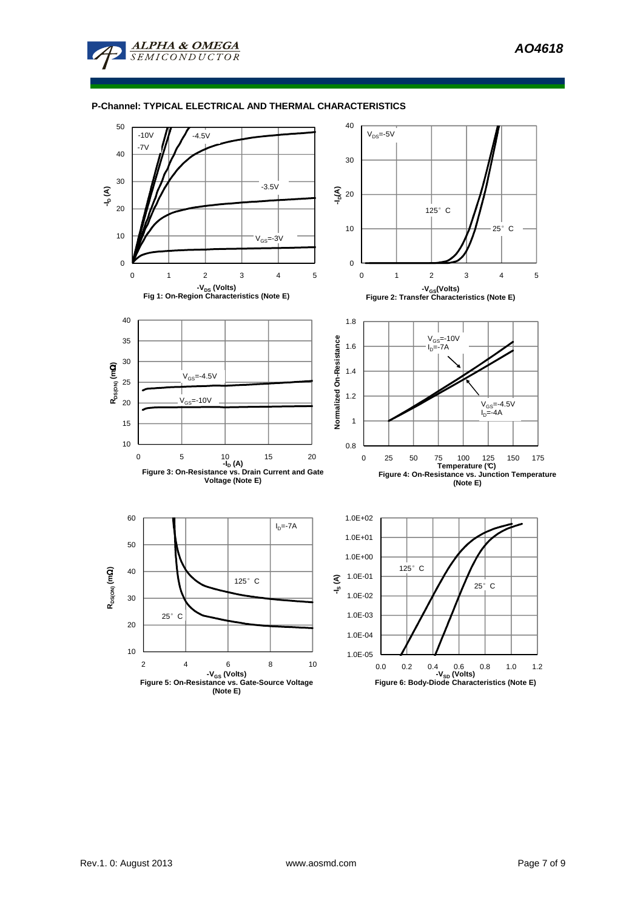**AO4618** 



**ALPHA & OMEGA SEMICONDUCTOR** 

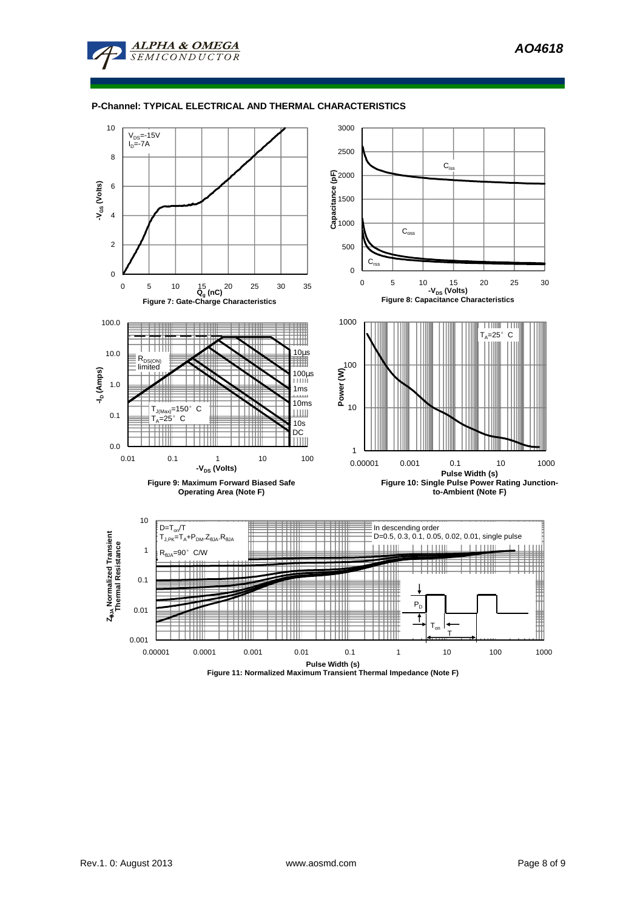

**ALPHA & OMEGA** MICONDUCTOR